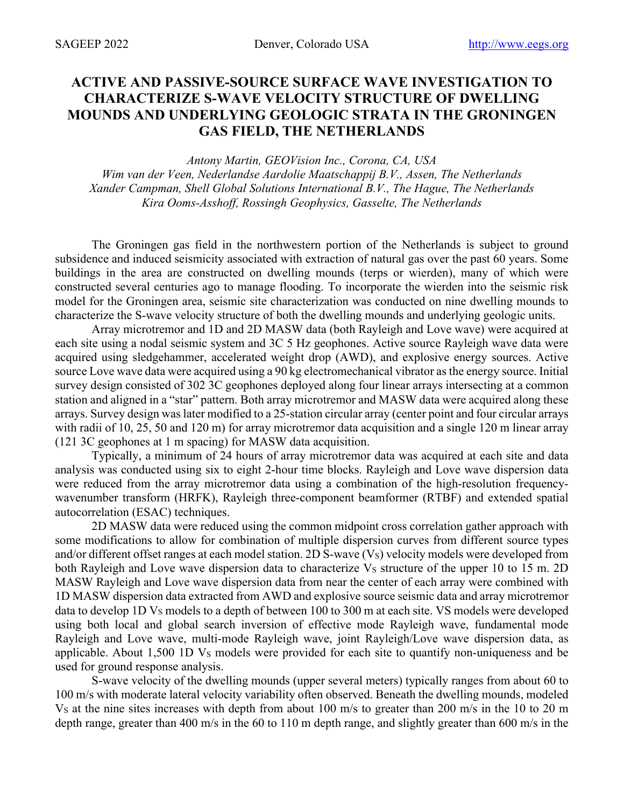## **ACTIVE AND PASSIVE-SOURCE SURFACE WAVE INVESTIGATION TO CHARACTERIZE S-WAVE VELOCITY STRUCTURE OF DWELLING MOUNDS AND UNDERLYING GEOLOGIC STRATA IN THE GRONINGEN GAS FIELD, THE NETHERLANDS**

*Antony Martin, GEOVision Inc., Corona, CA, USA Wim van der Veen, Nederlandse Aardolie Maatschappij B.V., Assen, The Netherlands Xander Campman, Shell Global Solutions International B.V., The Hague, The Netherlands Kira Ooms-Asshoff, Rossingh Geophysics, Gasselte, The Netherlands*

The Groningen gas field in the northwestern portion of the Netherlands is subject to ground subsidence and induced seismicity associated with extraction of natural gas over the past 60 years. Some buildings in the area are constructed on dwelling mounds (terps or wierden), many of which were constructed several centuries ago to manage flooding. To incorporate the wierden into the seismic risk model for the Groningen area, seismic site characterization was conducted on nine dwelling mounds to characterize the S-wave velocity structure of both the dwelling mounds and underlying geologic units.

Array microtremor and 1D and 2D MASW data (both Rayleigh and Love wave) were acquired at each site using a nodal seismic system and 3C 5 Hz geophones. Active source Rayleigh wave data were acquired using sledgehammer, accelerated weight drop (AWD), and explosive energy sources. Active source Love wave data were acquired using a 90 kg electromechanical vibrator as the energy source. Initial survey design consisted of 302 3C geophones deployed along four linear arrays intersecting at a common station and aligned in a "star" pattern. Both array microtremor and MASW data were acquired along these arrays. Survey design was later modified to a 25-station circular array (center point and four circular arrays with radii of 10, 25, 50 and 120 m) for array microtremor data acquisition and a single 120 m linear array (121 3C geophones at 1 m spacing) for MASW data acquisition.

Typically, a minimum of 24 hours of array microtremor data was acquired at each site and data analysis was conducted using six to eight 2-hour time blocks. Rayleigh and Love wave dispersion data were reduced from the array microtremor data using a combination of the high-resolution frequencywavenumber transform (HRFK), Rayleigh three-component beamformer (RTBF) and extended spatial autocorrelation (ESAC) techniques.

2D MASW data were reduced using the common midpoint cross correlation gather approach with some modifications to allow for combination of multiple dispersion curves from different source types and/or different offset ranges at each model station. 2D S-wave (Vs) velocity models were developed from both Rayleigh and Love wave dispersion data to characterize Vs structure of the upper 10 to 15 m. 2D MASW Rayleigh and Love wave dispersion data from near the center of each array were combined with 1D MASW dispersion data extracted from AWD and explosive source seismic data and array microtremor data to develop 1D Vs models to a depth of between 100 to 300 m at each site. VS models were developed using both local and global search inversion of effective mode Rayleigh wave, fundamental mode Rayleigh and Love wave, multi-mode Rayleigh wave, joint Rayleigh/Love wave dispersion data, as applicable. About  $1,500$  1D  $V_s$  models were provided for each site to quantify non-uniqueness and be used for ground response analysis.

S-wave velocity of the dwelling mounds (upper several meters) typically ranges from about 60 to 100 m/s with moderate lateral velocity variability often observed. Beneath the dwelling mounds, modeled V<sub>S</sub> at the nine sites increases with depth from about 100 m/s to greater than 200 m/s in the 10 to 20 m depth range, greater than 400 m/s in the 60 to 110 m depth range, and slightly greater than 600 m/s in the